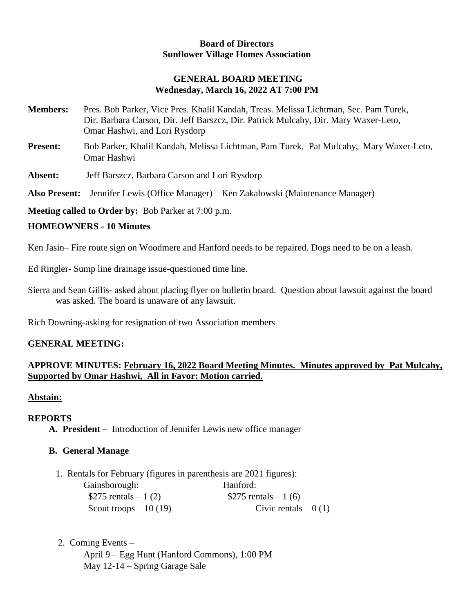#### **Board of Directors Sunflower Village Homes Association**

# **GENERAL BOARD MEETING Wednesday, March 16, 2022 AT 7:00 PM**

- **Members:** Pres. Bob Parker, Vice Pres. Khalil Kandah, Treas. Melissa Lichtman, Sec. Pam Turek, Dir. Barbara Carson, Dir. Jeff Barszcz, Dir. Patrick Mulcahy, Dir. Mary Waxer-Leto, Omar Hashwi, and Lori Rysdorp
- **Present:** Bob Parker, Khalil Kandah, Melissa Lichtman, Pam Turek, Pat Mulcahy, Mary Waxer-Leto, Omar Hashwi
- **Absent:** Jeff Barszcz, Barbara Carson and Lori Rysdorp

**Also Present:** Jennifer Lewis (Office Manager)Ken Zakalowski (Maintenance Manager)

**Meeting called to Order by:** Bob Parker at 7:00 p.m.

### **HOMEOWNERS - 10 Minutes**

Ken Jasin– Fire route sign on Woodmere and Hanford needs to be repaired. Dogs need to be on a leash.

Ed Ringler- Sump line drainage issue-questioned time line.

Sierra and Sean Gillis- asked about placing flyer on bulletin board. Question about lawsuit against the board was asked. The board is unaware of any lawsuit.

Rich Downing-asking for resignation of two Association members

# **GENERAL MEETING:**

# **APPROVE MINUTES: February 16, 2022 Board Meeting Minutes. Minutes approved by Pat Mulcahy, Supported by Omar Hashwi, All in Favor: Motion carried.**

#### **Abstain:**

# **REPORTS**

**A. President –** Introduction of Jennifer Lewis new office manager

# **B. General Manage**

1. Rentals for February (figures in parenthesis are 2021 figures):

| Gainsborough:          | Hanford:              |
|------------------------|-----------------------|
| \$275 rentals $-1(2)$  | \$275 rentals $-1(6)$ |
| Scout troops $-10(19)$ | Civic rentals $-0(1)$ |

2. Coming Events –

April 9 – Egg Hunt (Hanford Commons), 1:00 PM May 12-14 – Spring Garage Sale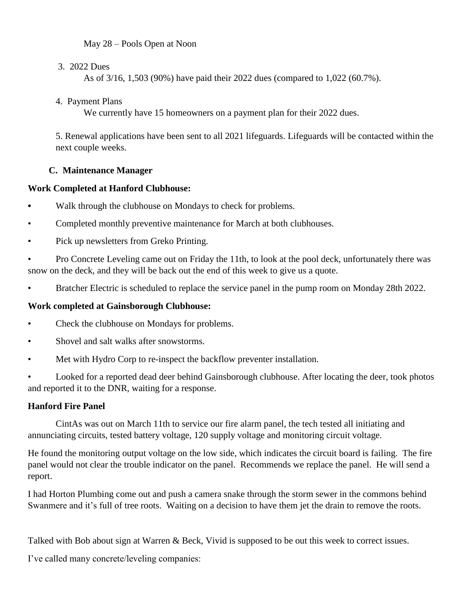May 28 – Pools Open at Noon

### 3. 2022 Dues

As of 3/16, 1,503 (90%) have paid their 2022 dues (compared to 1,022 (60.7%).

## 4. Payment Plans

We currently have 15 homeowners on a payment plan for their 2022 dues.

5. Renewal applications have been sent to all 2021 lifeguards. Lifeguards will be contacted within the next couple weeks.

# **C. Maintenance Manager**

# **Work Completed at Hanford Clubhouse:**

- **•** Walk through the clubhouse on Mondays to check for problems.
- Completed monthly preventive maintenance for March at both clubhouses.
- Pick up newsletters from Greko Printing.

• Pro Concrete Leveling came out on Friday the 11th, to look at the pool deck, unfortunately there was snow on the deck, and they will be back out the end of this week to give us a quote.

• Bratcher Electric is scheduled to replace the service panel in the pump room on Monday 28th 2022.

# **Work completed at Gainsborough Clubhouse:**

- Check the clubhouse on Mondays for problems.
- Shovel and salt walks after snowstorms.
- Met with Hydro Corp to re-inspect the backflow preventer installation.

Looked for a reported dead deer behind Gainsborough clubhouse. After locating the deer, took photos and reported it to the DNR, waiting for a response.

# **Hanford Fire Panel**

CintAs was out on March 11th to service our fire alarm panel, the tech tested all initiating and annunciating circuits, tested battery voltage, 120 supply voltage and monitoring circuit voltage.

He found the monitoring output voltage on the low side, which indicates the circuit board is failing. The fire panel would not clear the trouble indicator on the panel. Recommends we replace the panel. He will send a report.

I had Horton Plumbing come out and push a camera snake through the storm sewer in the commons behind Swanmere and it's full of tree roots. Waiting on a decision to have them jet the drain to remove the roots.

Talked with Bob about sign at Warren & Beck, Vivid is supposed to be out this week to correct issues.

I've called many concrete/leveling companies: